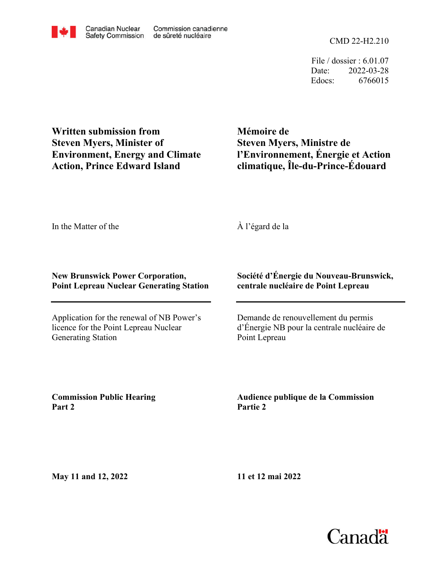CMD 22-H2.210

File / dossier : 6.01.07 Date: 2022-03-28 Edocs: 6766015

**Written submission from Steven Myers, Minister of Environment, Energy and Climate Action, Prince Edward Island**

**Mémoire de Steven Myers, Ministre de l'Environnement, Énergie et Action climatique, Île-du-Prince-Édouard**

In the Matter of the

À l'égard de la

## **New Brunswick Power Corporation, Point Lepreau Nuclear Generating Station**

Application for the renewal of NB Power's licence for the Point Lepreau Nuclear Generating Station

## **Société d'Énergie du Nouveau-Brunswick, centrale nucléaire de Point Lepreau**

Demande de renouvellement du permis d'Énergie NB pour la centrale nucléaire de Point Lepreau

**Commission Public Hearing Part 2**

**Audience publique de la Commission Partie 2**

**May 11 and 12, 2022**

**11 et 12 mai 2022**